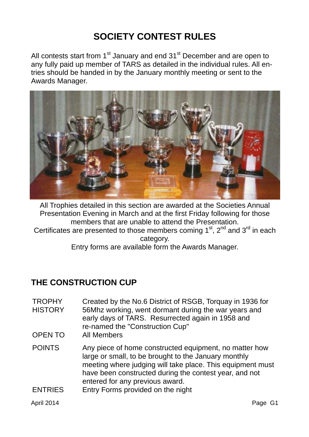# **SOCIETY CONTEST RULES**

All contests start from  $1<sup>st</sup>$  January and end  $31<sup>st</sup>$  December and are open to any fully paid up member of TARS as detailed in the individual rules. All entries should be handed in by the January monthly meeting or sent to the Awards Manager.



All Trophies detailed in this section are awarded at the Societies Annual Presentation Evening in March and at the first Friday following for those members that are unable to attend the Presentation. Certificates are presented to those members coming  $1<sup>st</sup>$ ,  $2<sup>nd</sup>$  and  $3<sup>rd</sup>$  in each category.

Entry forms are available form the Awards Manager.

### **THE CONSTRUCTION CUP**

- **TROPHY HISTORY** Created by the No.6 District of RSGB, Torquay in 1936 for 56Mhz working, went dormant during the war years and early days of TARS. Resurrected again in 1958 and re-named the "Construction Cup"
- OPEN TO All Members
- POINTS Any piece of home constructed equipment, no matter how large or small, to be brought to the January monthly meeting where judging will take place. This equipment must have been constructed during the contest year, and not entered for any previous award.
- ENTRIES Entry Forms provided on the night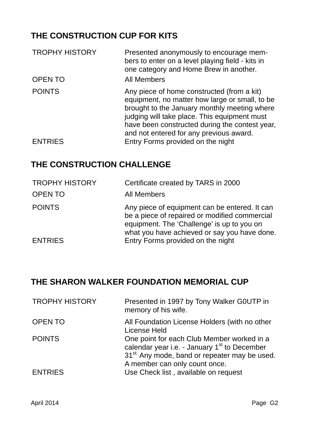# **THE CONSTRUCTION CUP FOR KITS**

| <b>TROPHY HISTORY</b> | Presented anonymously to encourage mem-<br>bers to enter on a level playing field - kits in<br>one category and Home Brew in another.                                                                                                                                                     |
|-----------------------|-------------------------------------------------------------------------------------------------------------------------------------------------------------------------------------------------------------------------------------------------------------------------------------------|
| <b>OPEN TO</b>        | <b>All Members</b>                                                                                                                                                                                                                                                                        |
| <b>POINTS</b>         | Any piece of home constructed (from a kit)<br>equipment, no matter how large or small, to be<br>brought to the January monthly meeting where<br>judging will take place. This equipment must<br>have been constructed during the contest year,<br>and not entered for any previous award. |
| <b>ENTRIES</b>        | Entry Forms provided on the night                                                                                                                                                                                                                                                         |

## **THE CONSTRUCTION CHALLENGE**

| <b>TROPHY HISTORY</b> | Certificate created by TARS in 2000                                                                                                                                                          |
|-----------------------|----------------------------------------------------------------------------------------------------------------------------------------------------------------------------------------------|
| <b>OPEN TO</b>        | <b>All Members</b>                                                                                                                                                                           |
| <b>POINTS</b>         | Any piece of equipment can be entered. It can<br>be a piece of repaired or modified commercial<br>equipment. The 'Challenge' is up to you on<br>what you have achieved or say you have done. |
| <b>ENTRIES</b>        | Entry Forms provided on the night                                                                                                                                                            |

#### **THE SHARON WALKER FOUNDATION MEMORIAL CUP**

| <b>TROPHY HISTORY</b> | Presented in 1997 by Tony Walker GOUTP in<br>memory of his wife.                                                                                                                                    |
|-----------------------|-----------------------------------------------------------------------------------------------------------------------------------------------------------------------------------------------------|
| <b>OPEN TO</b>        | All Foundation License Holders (with no other<br>License Held                                                                                                                                       |
| <b>POINTS</b>         | One point for each Club Member worked in a<br>calendar year i.e. - January 1 <sup>st</sup> to December<br>31 <sup>st</sup> Any mode, band or repeater may be used.<br>A member can only count once. |
| <b>ENTRIES</b>        | Use Check list, available on request                                                                                                                                                                |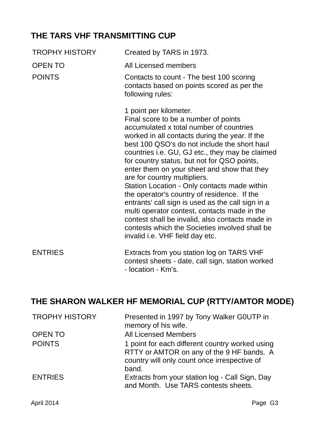### **THE TARS VHF TRANSMITTING CUP**

| <b>TROPHY HISTORY</b> | Created by TARS in 1973.                                                                                                                                                                                                                                                                                                                                                                                                                                                                                                                                                                                                                                                                                                                 |
|-----------------------|------------------------------------------------------------------------------------------------------------------------------------------------------------------------------------------------------------------------------------------------------------------------------------------------------------------------------------------------------------------------------------------------------------------------------------------------------------------------------------------------------------------------------------------------------------------------------------------------------------------------------------------------------------------------------------------------------------------------------------------|
| <b>OPEN TO</b>        | All Licensed members                                                                                                                                                                                                                                                                                                                                                                                                                                                                                                                                                                                                                                                                                                                     |
| <b>POINTS</b>         | Contacts to count - The best 100 scoring<br>contacts based on points scored as per the<br>following rules:                                                                                                                                                                                                                                                                                                                                                                                                                                                                                                                                                                                                                               |
|                       | 1 point per kilometer.<br>Final score to be a number of points<br>accumulated x total number of countries<br>worked in all contacts during the year. If the<br>best 100 QSO's do not include the short haul<br>countries i.e. GU, GJ etc., they may be claimed<br>for country status, but not for QSO points,<br>enter them on your sheet and show that they<br>are for country multipliers.<br>Station Location - Only contacts made within<br>the operator's country of residence. If the<br>entrants' call sign is used as the call sign in a<br>multi operator contest, contacts made in the<br>contest shall be invalid, also contacts made in<br>contests which the Societies involved shall be<br>invalid i.e. VHF field day etc. |
| <b>ENTRIES</b>        | Extracts from you station log on TARS VHF<br>contest sheets - date, call sign, station worked<br>- location - Km's.                                                                                                                                                                                                                                                                                                                                                                                                                                                                                                                                                                                                                      |

# **THE SHARON WALKER HF MEMORIAL CUP (RTTY/AMTOR MODE)**

| <b>TROPHY HISTORY</b> | Presented in 1997 by Tony Walker GOUTP in<br>memory of his wife.                                                                                      |
|-----------------------|-------------------------------------------------------------------------------------------------------------------------------------------------------|
| <b>OPEN TO</b>        | <b>All Licensed Members</b>                                                                                                                           |
| <b>POINTS</b>         | 1 point for each different country worked using<br>RTTY or AMTOR on any of the 9 HF bands. A<br>country will only count once irrespective of<br>band. |
| <b>ENTRIES</b>        | Extracts from your station log - Call Sign, Day<br>and Month. Use TARS contests sheets.                                                               |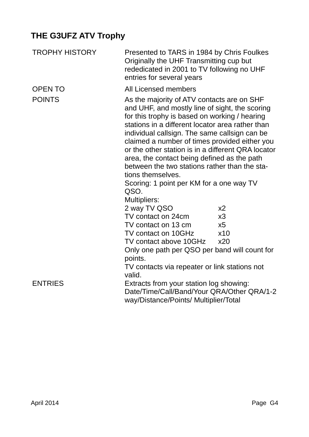# **THE G3UFZ ATV Trophy**

| <b>TROPHY HISTORY</b> | Presented to TARS in 1984 by Chris Foulkes<br>Originally the UHF Transmitting cup but<br>rededicated in 2001 to TV following no UHF<br>entries for several years                                                                                                                                                                                                                                                                                                                                                                                          |                      |
|-----------------------|-----------------------------------------------------------------------------------------------------------------------------------------------------------------------------------------------------------------------------------------------------------------------------------------------------------------------------------------------------------------------------------------------------------------------------------------------------------------------------------------------------------------------------------------------------------|----------------------|
| <b>OPEN TO</b>        | All Licensed members                                                                                                                                                                                                                                                                                                                                                                                                                                                                                                                                      |                      |
| <b>POINTS</b>         | As the majority of ATV contacts are on SHF<br>and UHF, and mostly line of sight, the scoring<br>for this trophy is based on working / hearing<br>stations in a different locator area rather than<br>individual callsign. The same callsign can be<br>claimed a number of times provided either you<br>or the other station is in a different QRA locator<br>area, the contact being defined as the path<br>between the two stations rather than the sta-<br>tions themselves.<br>Scoring: 1 point per KM for a one way TV<br>QSO.<br><b>Multipliers:</b> |                      |
|                       | 2 way TV QSO<br>TV contact on 24cm                                                                                                                                                                                                                                                                                                                                                                                                                                                                                                                        | x <sub>2</sub><br>x3 |
|                       | TV contact on 13 cm                                                                                                                                                                                                                                                                                                                                                                                                                                                                                                                                       | x5                   |
|                       | TV contact on 10GHz                                                                                                                                                                                                                                                                                                                                                                                                                                                                                                                                       | x10                  |
|                       | TV contact above 10GHz                                                                                                                                                                                                                                                                                                                                                                                                                                                                                                                                    | x20                  |
|                       | Only one path per QSO per band will count for                                                                                                                                                                                                                                                                                                                                                                                                                                                                                                             |                      |
|                       | points.<br>TV contacts via repeater or link stations not<br>valid.                                                                                                                                                                                                                                                                                                                                                                                                                                                                                        |                      |
| <b>ENTRIES</b>        | Extracts from your station log showing:<br>Date/Time/Call/Band/Your QRA/Other QRA/1-2<br>way/Distance/Points/ Multiplier/Total                                                                                                                                                                                                                                                                                                                                                                                                                            |                      |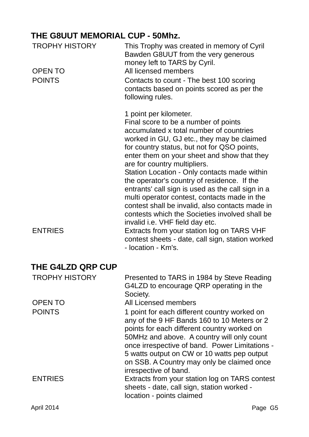# **THE G8UUT MEMORIAL CUP - 50Mhz.**

| <b>TROPHY HISTORY</b> | This Trophy was created in memory of Cyril<br>Bawden G8UUT from the very generous<br>money left to TARS by Cyril.                                                                                                                                                                                                                                                                                                                                                                                                                                                                                                                                                               |
|-----------------------|---------------------------------------------------------------------------------------------------------------------------------------------------------------------------------------------------------------------------------------------------------------------------------------------------------------------------------------------------------------------------------------------------------------------------------------------------------------------------------------------------------------------------------------------------------------------------------------------------------------------------------------------------------------------------------|
| <b>OPEN TO</b>        | All licensed members                                                                                                                                                                                                                                                                                                                                                                                                                                                                                                                                                                                                                                                            |
| <b>POINTS</b>         | Contacts to count - The best 100 scoring<br>contacts based on points scored as per the<br>following rules.                                                                                                                                                                                                                                                                                                                                                                                                                                                                                                                                                                      |
| <b>ENTRIES</b>        | 1 point per kilometer.<br>Final score to be a number of points<br>accumulated x total number of countries<br>worked in GU, GJ etc., they may be claimed<br>for country status, but not for QSO points,<br>enter them on your sheet and show that they<br>are for country multipliers.<br>Station Location - Only contacts made within<br>the operator's country of residence. If the<br>entrants' call sign is used as the call sign in a<br>multi operator contest, contacts made in the<br>contest shall be invalid, also contacts made in<br>contests which the Societies involved shall be<br>invalid i.e. VHF field day etc.<br>Extracts from your station log on TARS VHF |
|                       | contest sheets - date, call sign, station worked<br>- location - Km's.                                                                                                                                                                                                                                                                                                                                                                                                                                                                                                                                                                                                          |
| THE G4LZD QRP CUP     |                                                                                                                                                                                                                                                                                                                                                                                                                                                                                                                                                                                                                                                                                 |
| <b>TROPHY HISTORY</b> | Presented to TARS in 1984 by Steve Reading<br>G4LZD to encourage QRP operating in the<br>Society.                                                                                                                                                                                                                                                                                                                                                                                                                                                                                                                                                                               |
| <b>OPEN TO</b>        | All Licensed members                                                                                                                                                                                                                                                                                                                                                                                                                                                                                                                                                                                                                                                            |
| <b>POINTS</b>         | 1 point for each different country worked on<br>any of the 9 HF Bands 160 to 10 Meters or 2<br>points for each different country worked on<br>50MHz and above. A country will only count<br>once irrespective of band. Power Limitations -<br>5 watts output on CW or 10 watts pep output<br>on SSB. A Country may only be claimed once<br>irrespective of band.                                                                                                                                                                                                                                                                                                                |
| <b>ENTRIES</b>        | Extracts from your station log on TARS contest<br>sheets - date, call sign, station worked -<br>location - points claimed                                                                                                                                                                                                                                                                                                                                                                                                                                                                                                                                                       |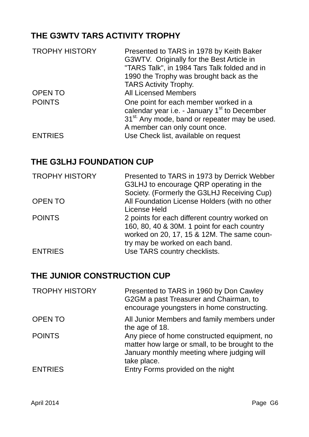## **THE G3WTV TARS ACTIVITY TROPHY**

| <b>TROPHY HISTORY</b> | Presented to TARS in 1978 by Keith Baker<br>G3WTV. Originally for the Best Article in<br>"TARS Talk", in 1984 Tars Talk folded and in<br>1990 the Trophy was brought back as the<br><b>TARS Activity Trophy.</b> |
|-----------------------|------------------------------------------------------------------------------------------------------------------------------------------------------------------------------------------------------------------|
| <b>OPEN TO</b>        | <b>All Licensed Members</b>                                                                                                                                                                                      |
| <b>POINTS</b>         | One point for each member worked in a<br>calendar year i.e. - January 1 <sup>st</sup> to December<br>31 <sup>st.</sup> Any mode, band or repeater may be used.<br>A member can only count once.                  |
| <b>ENTRIES</b>        | Use Check list, available on request                                                                                                                                                                             |

#### **THE G3LHJ FOUNDATION CUP**

| <b>TROPHY HISTORY</b> | Presented to TARS in 1973 by Derrick Webber<br>G3LHJ to encourage QRP operating in the<br>Society. (Formerly the G3LHJ Receiving Cup)                                         |
|-----------------------|-------------------------------------------------------------------------------------------------------------------------------------------------------------------------------|
| <b>OPEN TO</b>        | All Foundation License Holders (with no other<br>License Held                                                                                                                 |
| <b>POINTS</b>         | 2 points for each different country worked on<br>160, 80, 40 & 30M. 1 point for each country<br>worked on 20, 17, 15 & 12M. The same coun-<br>try may be worked on each band. |
| <b>ENTRIES</b>        | Use TARS country checklists.                                                                                                                                                  |

#### **THE JUNIOR CONSTRUCTION CUP**

| <b>TROPHY HISTORY</b> | Presented to TARS in 1960 by Don Cawley<br>G2GM a past Treasurer and Chairman, to<br>encourage youngsters in home constructing.                             |
|-----------------------|-------------------------------------------------------------------------------------------------------------------------------------------------------------|
| <b>OPEN TO</b>        | All Junior Members and family members under<br>the age of 18.                                                                                               |
| <b>POINTS</b>         | Any piece of home constructed equipment, no<br>matter how large or small, to be brought to the<br>January monthly meeting where judging will<br>take place. |
| <b>ENTRIES</b>        | Entry Forms provided on the night                                                                                                                           |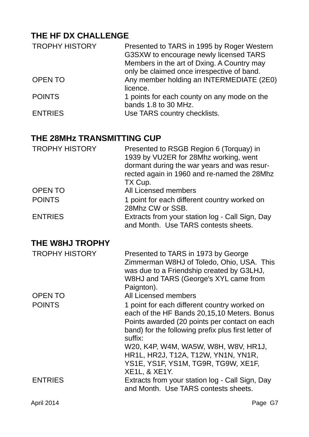## **THE HF DX CHALLENGE**

| <b>TROPHY HISTORY</b> | Presented to TARS in 1995 by Roger Western  |
|-----------------------|---------------------------------------------|
|                       | G3SXW to encourage newly licensed TARS      |
|                       | Members in the art of Dxing. A Country may  |
|                       | only be claimed once irrespective of band.  |
| <b>OPEN TO</b>        | Any member holding an INTERMEDIATE (2E0)    |
|                       | licence.                                    |
| <b>POINTS</b>         | 1 points for each county on any mode on the |
|                       | bands 1.8 to 30 MHz.                        |
| <b>ENTRIES</b>        | Use TARS country checklists.                |

### **THE 28MHz TRANSMITTING CUP**

| <b>TROPHY HISTORY</b>  | Presented to RSGB Region 6 (Torquay) in<br>1939 by VU2ER for 28Mhz working, went<br>dormant during the war years and was resur-<br>rected again in 1960 and re-named the 28Mhz<br>TX Cup.                                                                                                     |
|------------------------|-----------------------------------------------------------------------------------------------------------------------------------------------------------------------------------------------------------------------------------------------------------------------------------------------|
| <b>OPEN TO</b>         | <b>All Licensed members</b>                                                                                                                                                                                                                                                                   |
| <b>POINTS</b>          | 1 point for each different country worked on<br>28Mhz CW or SSB.                                                                                                                                                                                                                              |
| <b>ENTRIES</b>         | Extracts from your station log - Call Sign, Day<br>and Month. Use TARS contests sheets.                                                                                                                                                                                                       |
| <b>THE W8HJ TROPHY</b> |                                                                                                                                                                                                                                                                                               |
| <b>TROPHY HISTORY</b>  | Presented to TARS in 1973 by George<br>Zimmerman W8HJ of Toledo, Ohio, USA. This<br>was due to a Friendship created by G3LHJ,<br>W8HJ and TARS (George's XYL came from<br>Paignton).                                                                                                          |
| <b>OPEN TO</b>         | All Licensed members                                                                                                                                                                                                                                                                          |
| <b>POINTS</b>          | 1 point for each different country worked on<br>each of the HF Bands 20,15,10 Meters. Bonus<br>Points awarded (20 points per contact on each<br>band) for the following prefix plus first letter of<br>suffix:<br>W20, K4P, W4M, WA5W, W8H, W8V, HR1J,<br>HR1L, HR2J, T12A, T12W, YN1N, YN1R, |
|                        | YS1E, YS1F, YS1M, TG9R, TG9W, XE1F,<br><b>XE1L, &amp; XE1Y.</b>                                                                                                                                                                                                                               |
| <b>ENTRIES</b>         | Extracts from your station log - Call Sign, Day<br>and Month. Use TARS contests sheets.                                                                                                                                                                                                       |
| April 2014             | Page G7                                                                                                                                                                                                                                                                                       |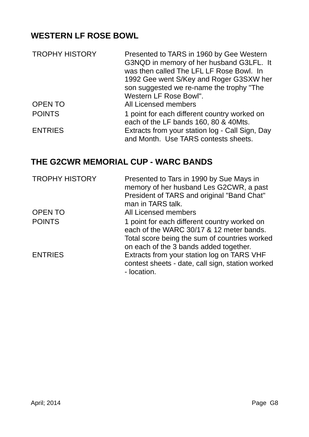## **WESTERN LF ROSE BOWL**

| <b>TROPHY HISTORY</b> | Presented to TARS in 1960 by Gee Western<br>G3NQD in memory of her husband G3LFL. It<br>was then called The LFL LF Rose Bowl. In<br>1992 Gee went S/Key and Roger G3SXW her<br>son suggested we re-name the trophy "The<br>Western LF Rose Bowl". |
|-----------------------|---------------------------------------------------------------------------------------------------------------------------------------------------------------------------------------------------------------------------------------------------|
| <b>OPEN TO</b>        | All Licensed members                                                                                                                                                                                                                              |
| <b>POINTS</b>         | 1 point for each different country worked on<br>each of the LF bands 160, 80 & 40Mts.                                                                                                                                                             |
| <b>ENTRIES</b>        | Extracts from your station log - Call Sign, Day<br>and Month. Use TARS contests sheets.                                                                                                                                                           |

## **THE G2CWR MEMORIAL CUP - WARC BANDS**

| <b>TROPHY HISTORY</b> | Presented to Tars in 1990 by Sue Mays in<br>memory of her husband Les G2CWR, a past<br>President of TARS and original "Band Chat"<br>man in TARS talk. |
|-----------------------|--------------------------------------------------------------------------------------------------------------------------------------------------------|
| <b>OPEN TO</b>        | All Licensed members                                                                                                                                   |
| <b>POINTS</b>         | 1 point for each different country worked on<br>each of the WARC 30/17 & 12 meter bands.                                                               |
|                       | Total score being the sum of countries worked<br>on each of the 3 bands added together.                                                                |
| <b>ENTRIES</b>        | Extracts from your station log on TARS VHF<br>contest sheets - date, call sign, station worked<br>- location.                                          |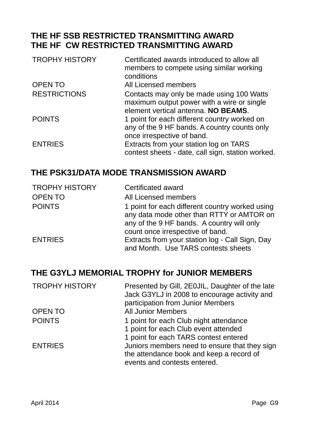#### **THE HF SSB RESTRICTED TRANSMITTING AWARD THE HF CW RESTRICTED TRANSMITTING AWARD**

| <b>TROPHY HISTORY</b> | Certificated awards introduced to allow all<br>members to compete using similar working<br>conditions                          |
|-----------------------|--------------------------------------------------------------------------------------------------------------------------------|
| <b>OPEN TO</b>        | All Licensed members                                                                                                           |
| <b>RESTRICTIONS</b>   | Contacts may only be made using 100 Watts<br>maximum output power with a wire or single<br>element vertical antenna. NO BEAMS. |
| <b>POINTS</b>         | 1 point for each different country worked on<br>any of the 9 HF bands. A country counts only<br>once irrespective of band.     |
| <b>ENTRIES</b>        | Extracts from your station log on TARS<br>contest sheets - date, call sign, station worked.                                    |

#### **THE PSK31/DATA MODE TRANSMISSION AWARD**

| <b>TROPHY HISTORY</b> | Certificated award                                                                           |
|-----------------------|----------------------------------------------------------------------------------------------|
| <b>OPEN TO</b>        | All Licensed members                                                                         |
| <b>POINTS</b>         | 1 point for each different country worked using<br>any data mode other than RTTY or AMTOR on |
|                       | any of the 9 HF bands. A country will only                                                   |
|                       | count once irrespective of band.                                                             |
| <b>ENTRIES</b>        | Extracts from your station log - Call Sign, Day<br>and Month. Use TARS contests sheets       |
|                       |                                                                                              |

### **THE G3YLJ MEMORIAL TROPHY for JUNIOR MEMBERS**

| <b>TROPHY HISTORY</b> | Presented by Gill, 2E0JIL, Daughter of the late<br>Jack G3YLJ in 2008 to encourage activity and<br>participation from Junior Members |
|-----------------------|--------------------------------------------------------------------------------------------------------------------------------------|
| <b>OPEN TO</b>        | <b>All Junior Members</b>                                                                                                            |
| <b>POINTS</b>         | 1 point for each Club night attendance<br>1 point for each Club event attended<br>1 point for each TARS contest entered              |
| <b>ENTRIES</b>        | Juniors members need to ensure that they sign<br>the attendance book and keep a record of<br>events and contests entered.            |